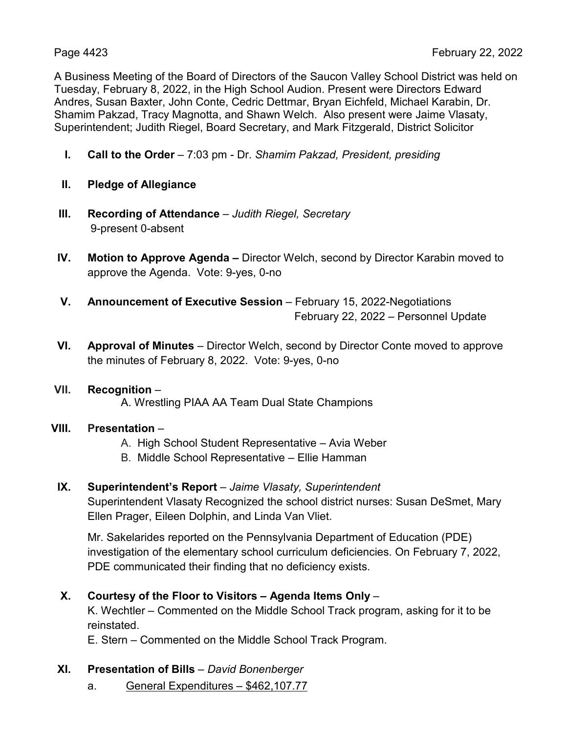A Business Meeting of the Board of Directors of the Saucon Valley School District was held on Tuesday, February 8, 2022, in the High School Audion. Present were Directors Edward Andres, Susan Baxter, John Conte, Cedric Dettmar, Bryan Eichfeld, Michael Karabin, Dr. Shamim Pakzad, Tracy Magnotta, and Shawn Welch. Also present were Jaime Vlasaty, Superintendent; Judith Riegel, Board Secretary, and Mark Fitzgerald, District Solicitor

- **I. Call to the Order** 7:03 pm Dr. *Shamim Pakzad, President, presiding*
- **II. Pledge of Allegiance**
- **III. Recording of Attendance** *Judith Riegel, Secretary* 9-present 0-absent
- **IV. Motion to Approve Agenda –** Director Welch, second by Director Karabin moved to approve the Agenda. Vote: 9-yes, 0-no
- **V. Announcement of Executive Session** February 15, 2022-Negotiations February 22, 2022 – Personnel Update
- **VI. Approval of Minutes** Director Welch, second by Director Conte moved to approve the minutes of February 8, 2022. Vote: 9-yes, 0-no
- **VII. Recognition**  A. Wrestling PIAA AA Team Dual State Champions
- **VIII. Presentation**
	- A. High School Student Representative Avia Weber
	- B. Middle School Representative Ellie Hamman
- **IX. Superintendent's Report** *Jaime Vlasaty, Superintendent*

Superintendent Vlasaty Recognized the school district nurses: Susan DeSmet, Mary Ellen Prager, Eileen Dolphin, and Linda Van Vliet.

Mr. Sakelarides reported on the Pennsylvania Department of Education (PDE) investigation of the elementary school curriculum deficiencies. On February 7, 2022, PDE communicated their finding that no deficiency exists.

**X. Courtesy of the Floor to Visitors – Agenda Items Only** –

K. Wechtler – Commented on the Middle School Track program, asking for it to be reinstated.

E. Stern – Commented on the Middle School Track Program.

- **XI. Presentation of Bills** *David Bonenberger*
	- a. General Expenditures \$462,107.77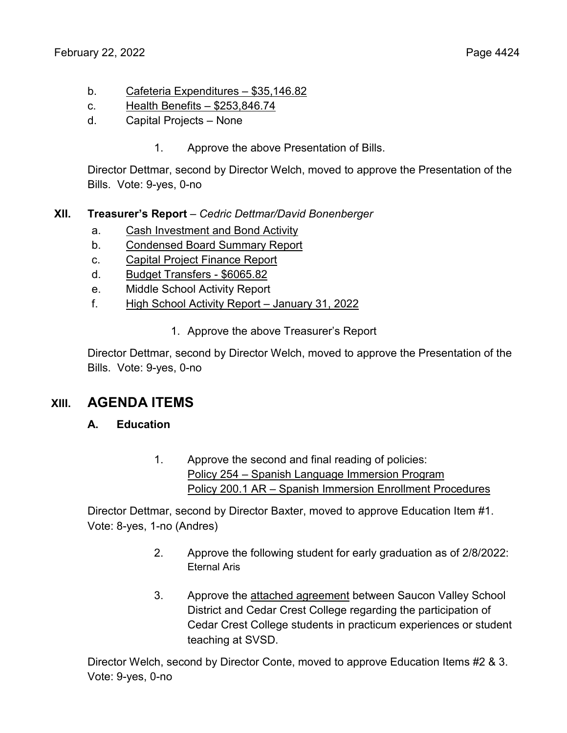- b. Cafeteria Expenditures \$35,146.82
- c. Health Benefits \$253,846.74
- d. Capital Projects None
	- 1. Approve the above Presentation of Bills.

Director Dettmar, second by Director Welch, moved to approve the Presentation of the Bills. Vote: 9-yes, 0-no

## **XII. Treasurer's Report** – *Cedric Dettmar/David Bonenberger*

- a. Cash Investment and Bond Activity
- b. Condensed Board Summary Report
- c. Capital Project Finance Report
- d. Budget Transfers \$6065.82
- e. Middle School Activity Report
- f. High School Activity Report January 31, 2022
	- 1. Approve the above Treasurer's Report

Director Dettmar, second by Director Welch, moved to approve the Presentation of the Bills. Vote: 9-yes, 0-no

# **XIII. AGENDA ITEMS**

## **A. Education**

1. Approve the second and final reading of policies: Policy 254 – Spanish Language Immersion Program Policy 200.1 AR – Spanish Immersion Enrollment Procedures

Director Dettmar, second by Director Baxter, moved to approve Education Item #1. Vote: 8-yes, 1-no (Andres)

- 2. Approve the following student for early graduation as of 2/8/2022: Eternal Aris
- 3. Approve the attached agreement between Saucon Valley School District and Cedar Crest College regarding the participation of Cedar Crest College students in practicum experiences or student teaching at SVSD.

Director Welch, second by Director Conte, moved to approve Education Items #2 & 3. Vote: 9-yes, 0-no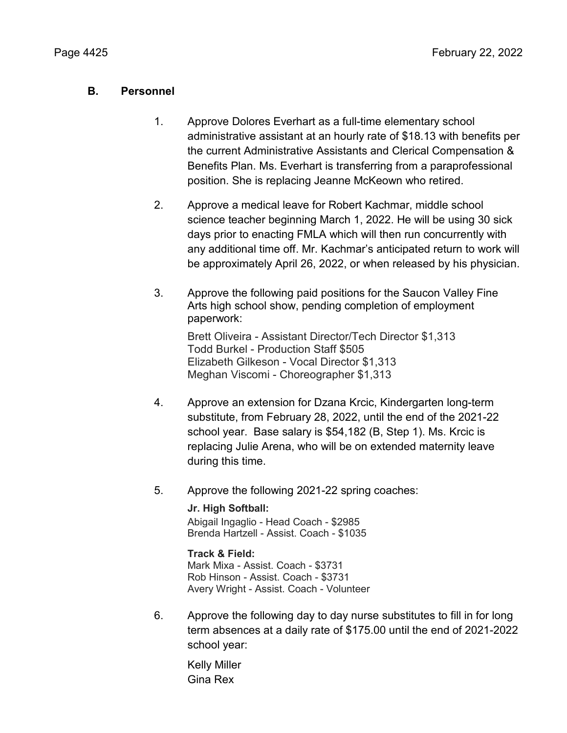## **B. Personnel**

- 1. Approve Dolores Everhart as a full-time elementary school administrative assistant at an hourly rate of \$18.13 with benefits per the current Administrative Assistants and Clerical Compensation & Benefits Plan. Ms. Everhart is transferring from a paraprofessional position. She is replacing Jeanne McKeown who retired.
- 2. Approve a medical leave for Robert Kachmar, middle school science teacher beginning March 1, 2022. He will be using 30 sick days prior to enacting FMLA which will then run concurrently with any additional time off. Mr. Kachmar's anticipated return to work will be approximately April 26, 2022, or when released by his physician.
- 3. Approve the following paid positions for the Saucon Valley Fine Arts high school show, pending completion of employment paperwork:

Brett Oliveira - Assistant Director/Tech Director \$1,313 Todd Burkel - Production Staff \$505 Elizabeth Gilkeson - Vocal Director \$1,313 Meghan Viscomi - Choreographer \$1,313

- 4. Approve an extension for Dzana Krcic, Kindergarten long-term substitute, from February 28, 2022, until the end of the 2021-22 school year. Base salary is \$54,182 (B, Step 1). Ms. Krcic is replacing Julie Arena, who will be on extended maternity leave during this time.
- 5. Approve the following 2021-22 spring coaches:

### **Jr. High Softball:**

Abigail Ingaglio - Head Coach - \$2985 Brenda Hartzell - Assist. Coach - \$1035

### **Track & Field:**

Mark Mixa - Assist. Coach - \$3731 Rob Hinson - Assist. Coach - \$3731 Avery Wright - Assist. Coach - Volunteer

6. Approve the following day to day nurse substitutes to fill in for long term absences at a daily rate of \$175.00 until the end of 2021-2022 school year:

Kelly Miller Gina Rex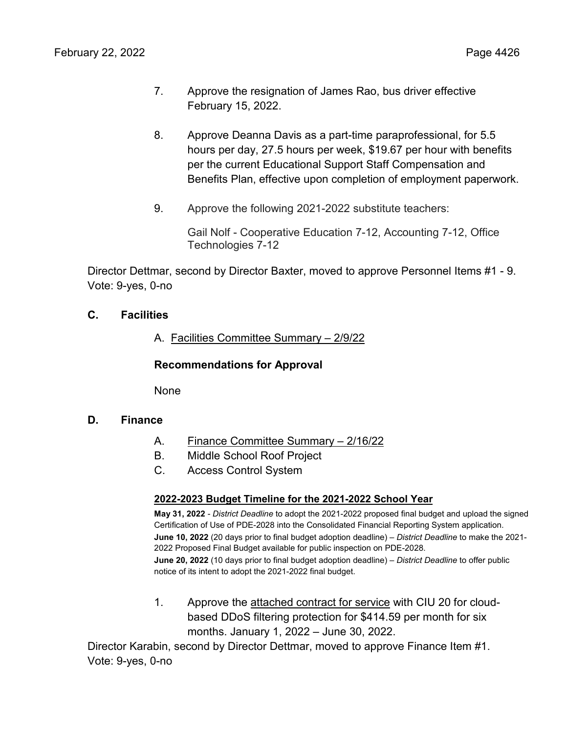- 7. Approve the resignation of James Rao, bus driver effective February 15, 2022.
- 8. Approve Deanna Davis as a part-time paraprofessional, for 5.5 hours per day, 27.5 hours per week, \$19.67 per hour with benefits per the current Educational Support Staff Compensation and Benefits Plan, effective upon completion of employment paperwork.
- 9. Approve the following 2021-2022 substitute teachers:

Gail Nolf - Cooperative Education 7-12, Accounting 7-12, Office Technologies 7-12

Director Dettmar, second by Director Baxter, moved to approve Personnel Items #1 - 9. Vote: 9-yes, 0-no

## **C. Facilities**

A. Facilities Committee Summary – 2/9/22

**Recommendations for Approval**

None

### **D. Finance**

- A. Finance Committee Summary 2/16/22
- B. Middle School Roof Project
- C. Access Control System

### **2022-2023 Budget Timeline for the 2021-2022 School Year**

**May 31, 2022** - *District Deadline* to adopt the 2021-2022 proposed final budget and upload the signed Certification of Use of PDE-2028 into the Consolidated Financial Reporting System application. **June 10, 2022** (20 days prior to final budget adoption deadline) – *District Deadline* to make the 2021- 2022 Proposed Final Budget available for public inspection on PDE-2028. **June 20, 2022** (10 days prior to final budget adoption deadline) – *District Deadline* to offer public notice of its intent to adopt the 2021-2022 final budget.

1. Approve the attached contract for service with CIU 20 for cloudbased DDoS filtering protection for \$414.59 per month for six months. January 1, 2022 – June 30, 2022.

Director Karabin, second by Director Dettmar, moved to approve Finance Item #1. Vote: 9-yes, 0-no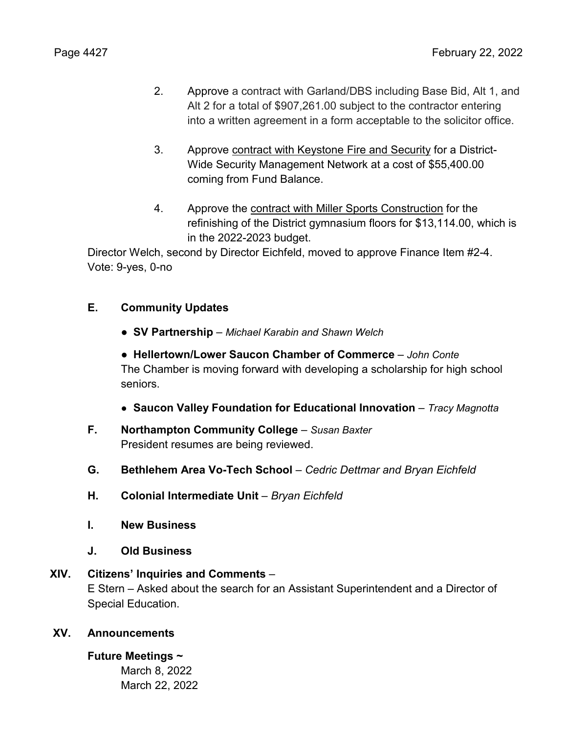- 2. Approve a contract with Garland/DBS including Base Bid, Alt 1, and Alt 2 for a total of \$907,261.00 subject to the contractor entering into a written agreement in a form acceptable to the solicitor office.
- 3. Approve contract with Keystone Fire and Security for a District-Wide Security Management Network at a cost of \$55,400.00 coming from Fund Balance.
- 4. Approve the contract with Miller Sports Construction for the refinishing of the District gymnasium floors for \$13,114.00, which is in the 2022-2023 budget.

Director Welch, second by Director Eichfeld, moved to approve Finance Item #2-4. Vote: 9-yes, 0-no

## **E. Community Updates**

- **● SV Partnership**  *Michael Karabin and Shawn Welch*
- **● Hellertown/Lower Saucon Chamber of Commerce** *– John Conte* The Chamber is moving forward with developing a scholarship for high school seniors.
- **● Saucon Valley Foundation for Educational Innovation**  *Tracy Magnotta*
- **F. Northampton Community College** *Susan Baxter* President resumes are being reviewed.
- **G. Bethlehem Area Vo-Tech School** *– Cedric Dettmar and Bryan Eichfeld*
- **H. Colonial Intermediate Unit** *– Bryan Eichfeld*
- **I. New Business**
- **J. Old Business**

## **XIV. Citizens' Inquiries and Comments** –

E Stern – Asked about the search for an Assistant Superintendent and a Director of Special Education.

## **XV. Announcements**

## **Future Meetings ~**

March 8, 2022 March 22, 2022